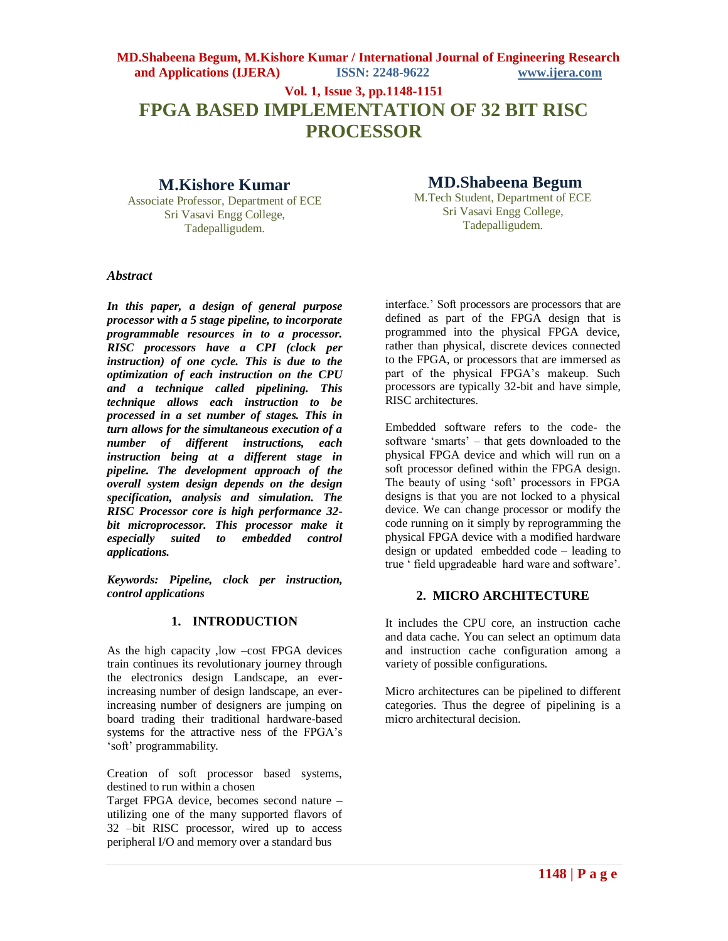**Vol. 1, Issue 3, pp.1148-1151**

# **FPGA BASED IMPLEMENTATION OF 32 BIT RISC PROCESSOR**

## **M.Kishore Kumar**

Associate Professor, Department of ECE Sri Vasavi Engg College, Tadepalligudem.

## **MD.Shabeena Begum**

M.Tech Student, Department of ECE Sri Vasavi Engg College, Tadepalligudem.

#### *Abstract*

*In this paper, a design of general purpose processor with a 5 stage pipeline, to incorporate programmable resources in to a processor. RISC processors have a CPI (clock per instruction) of one cycle. This is due to the optimization of each instruction on the CPU and a technique called pipelining. This technique allows each instruction to be processed in a set number of stages. This in turn allows for the simultaneous execution of a number of different instructions, each instruction being at a different stage in pipeline. The development approach of the overall system design depends on the design specification, analysis and simulation. The RISC Processor core is high performance 32 bit microprocessor. This processor make it especially suited to embedded control applications.*

*Keywords: Pipeline, clock per instruction, control applications*

#### **1. INTRODUCTION**

As the high capacity ,low –cost FPGA devices train continues its revolutionary journey through the electronics design Landscape, an everincreasing number of design landscape, an everincreasing number of designers are jumping on board trading their traditional hardware-based systems for the attractive ness of the FPGA"s "soft" programmability.

Creation of soft processor based systems, destined to run within a chosen

Target FPGA device, becomes second nature – utilizing one of the many supported flavors of 32 –bit RISC processor, wired up to access peripheral I/O and memory over a standard bus

interface." Soft processors are processors that are defined as part of the FPGA design that is programmed into the physical FPGA device, rather than physical, discrete devices connected to the FPGA, or processors that are immersed as part of the physical FPGA"s makeup. Such processors are typically 32-bit and have simple, RISC architectures.

Embedded software refers to the code- the software "smarts" – that gets downloaded to the physical FPGA device and which will run on a soft processor defined within the FPGA design. The beauty of using "soft" processors in FPGA designs is that you are not locked to a physical device. We can change processor or modify the code running on it simply by reprogramming the physical FPGA device with a modified hardware design or updated embedded code – leading to true " field upgradeable hard ware and software".

## **2. MICRO ARCHITECTURE**

It includes the CPU core, an instruction cache and data cache. You can select an optimum data and instruction cache configuration among a variety of possible configurations.

Micro architectures can be pipelined to different categories. Thus the degree of pipelining is a micro architectural decision.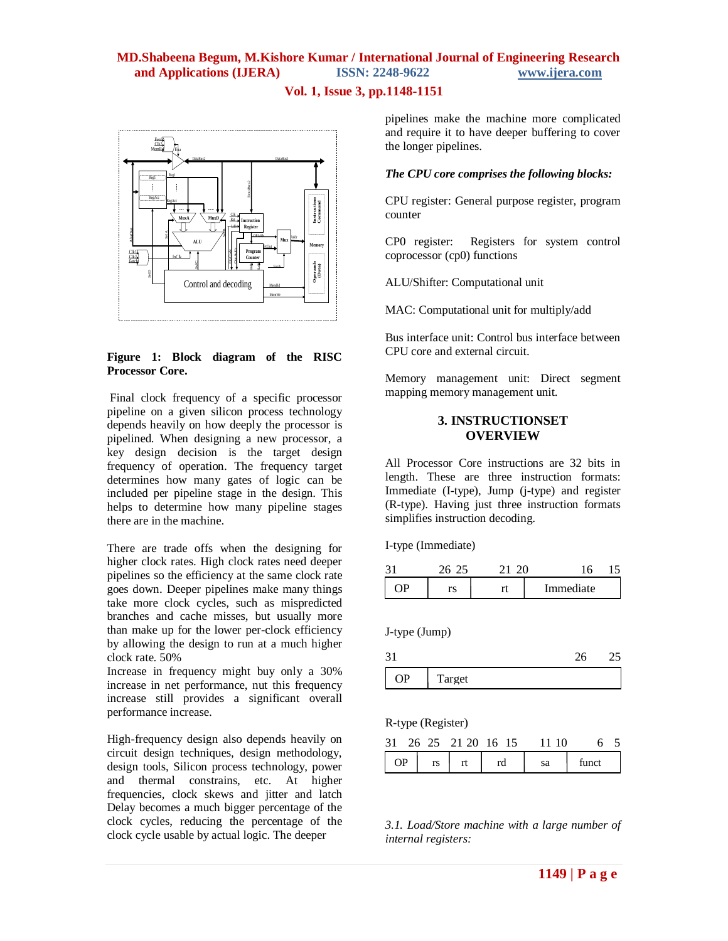## **Vol. 1, Issue 3, pp.1148-1151**



#### **Figure 1: Block diagram of the RISC Processor Core.**

Final clock frequency of a specific processor pipeline on a given silicon process technology depends heavily on how deeply the processor is pipelined. When designing a new processor, a key design decision is the target design frequency of operation. The frequency target determines how many gates of logic can be included per pipeline stage in the design. This helps to determine how many pipeline stages there are in the machine.

There are trade offs when the designing for higher clock rates. High clock rates need deeper pipelines so the efficiency at the same clock rate goes down. Deeper pipelines make many things take more clock cycles, such as mispredicted branches and cache misses, but usually more than make up for the lower per-clock efficiency by allowing the design to run at a much higher clock rate. 50%

Increase in frequency might buy only a 30% increase in net performance, nut this frequency increase still provides a significant overall performance increase.

High-frequency design also depends heavily on circuit design techniques, design methodology, design tools, Silicon process technology, power and thermal constrains, etc. At higher frequencies, clock skews and jitter and latch Delay becomes a much bigger percentage of the clock cycles, reducing the percentage of the clock cycle usable by actual logic. The deeper

pipelines make the machine more complicated and require it to have deeper buffering to cover the longer pipelines.

#### *The CPU core comprises the following blocks:*

CPU register: General purpose register, program counter

CP0 register: Registers for system control coprocessor (cp0) functions

ALU/Shifter: Computational unit

MAC: Computational unit for multiply/add

Bus interface unit: Control bus interface between CPU core and external circuit.

Memory management unit: Direct segment mapping memory management unit.

#### **3. INSTRUCTIONSET OVERVIEW**

All Processor Core instructions are 32 bits in length. These are three instruction formats: Immediate (I-type), Jump (j-type) and register (R-type). Having just three instruction formats simplifies instruction decoding.

I-type (Immediate)

| 675 |  |           |  |
|-----|--|-----------|--|
| ٣S  |  | Immediate |  |

J-type (Jump)

31 26 25  $\mathsf \Gamma$ OP Target

R-type (Register)

|    |    | 31 26 25 21 20 16 15 | 11 10 |       |  |
|----|----|----------------------|-------|-------|--|
| OΡ | rs | rd                   | sa    | funct |  |

*3.1. Load/Store machine with a large number of internal registers:*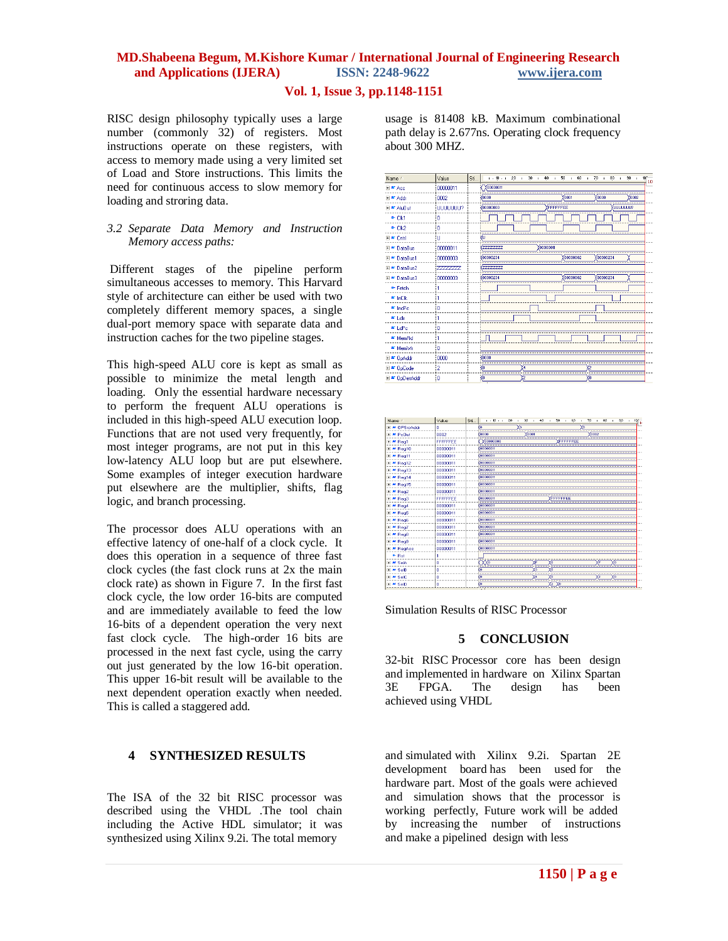#### **Vol. 1, Issue 3, pp.1148-1151**

RISC design philosophy typically uses a large number (commonly 32) of registers. Most instructions operate on these registers, with access to memory made using a very limited set of Load and Store instructions. This limits the need for continuous access to slow memory for loading and stroring data.

#### *3.2 Separate Data Memory and Instruction Memory access paths:*

Different stages of the pipeline perform simultaneous accesses to memory. This Harvard style of architecture can either be used with two completely different memory spaces, a single dual-port memory space with separate data and instruction caches for the two pipeline stages.

This high-speed ALU core is kept as small as possible to minimize the metal length and loading. Only the essential hardware necessary to perform the frequent ALU operations is included in this high-speed ALU execution loop. Functions that are not used very frequently, for most integer programs, are not put in this key low-latency ALU loop but are put elsewhere. Some examples of integer execution hardware put elsewhere are the multiplier, shifts, flag logic, and branch processing.

The processor does ALU operations with an effective latency of one-half of a clock cycle. It does this operation in a sequence of three fast clock cycles (the fast clock runs at 2x the main clock rate) as shown in Figure 7. In the first fast clock cycle, the low order 16-bits are computed and are immediately available to feed the low 16-bits of a dependent operation the very next fast clock cycle. The high-order 16 bits are processed in the next fast cycle, using the carry out just generated by the low 16-bit operation. This upper 16-bit result will be available to the next dependent operation exactly when needed. This is called a staggered add.

#### **4 SYNTHESIZED RESULTS**

The ISA of the 32 bit RISC processor was described using the VHDL .The tool chain including the Active HDL simulator; it was synthesized using Xilinx 9.2i. The total memory

usage is 81408 kB. Maximum combinational path delay is 2.677ns. Operating clock frequency about 300 MHZ.





Simulation Results of RISC Processor

#### **5 CONCLUSION**

32-bit RISC Processor core has been design and implemented in hardware on Xilinx Spartan 3E FPGA. The design has been achieved using VHDL

and simulated with Xilinx 9.2i. Spartan 2E development board has been used for the hardware part. Most of the goals were achieved and simulation shows that the processor is working perfectly, Future work will be added by increasing the number of instructions and make a pipelined design with less